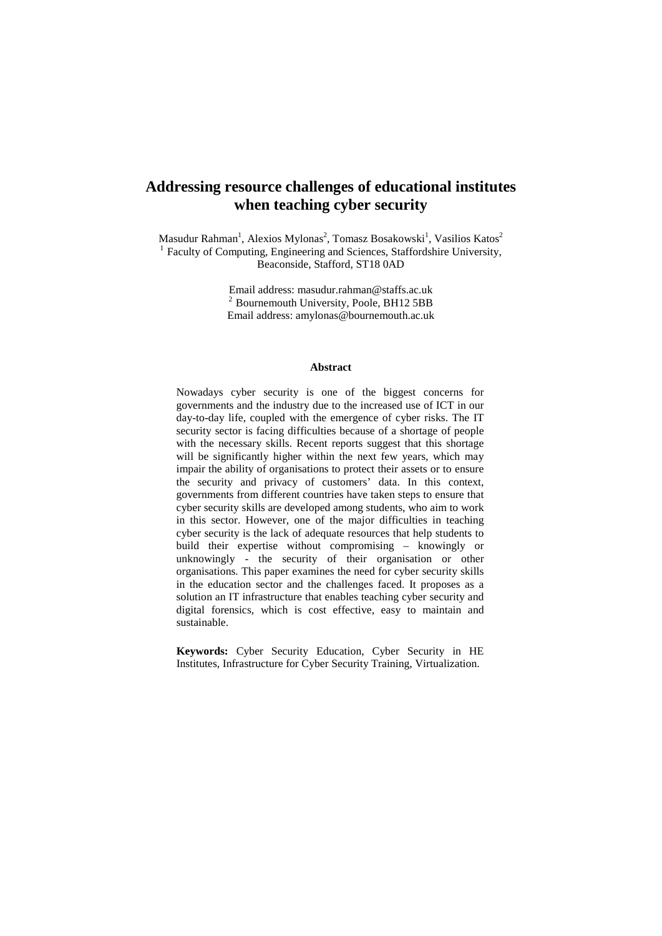## **Addressing resource challenges of educational institutes when teaching cyber security**

Masudur Rahman<sup>1</sup>, Alexios Mylonas<sup>2</sup>, Tomasz Bosakowski<sup>1</sup>, Vasilios Katos<sup>2</sup> <sup>1</sup> Faculty of Computing, Engineering and Sciences, Staffordshire University, Beaconside, Stafford, ST18 0AD

> Email address: masudur.rahman@staffs.ac.uk <sup>2</sup> Bournemouth University, Poole, BH12 5BB Email address: [amylonas@bournemouth.ac.uk](mailto:amylonas@bournemouth.ac.uk)

#### **Abstract**

Nowadays cyber security is one of the biggest concerns for governments and the industry due to the increased use of ICT in our day-to-day life, coupled with the emergence of cyber risks. The IT security sector is facing difficulties because of a shortage of people with the necessary skills. Recent reports suggest that this shortage will be significantly higher within the next few years, which may impair the ability of organisations to protect their assets or to ensure the security and privacy of customers' data. In this context, governments from different countries have taken steps to ensure that cyber security skills are developed among students, who aim to work in this sector. However, one of the major difficulties in teaching cyber security is the lack of adequate resources that help students to build their expertise without compromising – knowingly or unknowingly - the security of their organisation or other organisations. This paper examines the need for cyber security skills in the education sector and the challenges faced. It proposes as a solution an IT infrastructure that enables teaching cyber security and digital forensics, which is cost effective, easy to maintain and sustainable.

**Keywords:** Cyber Security Education, Cyber Security in HE Institutes, Infrastructure for Cyber Security Training, Virtualization.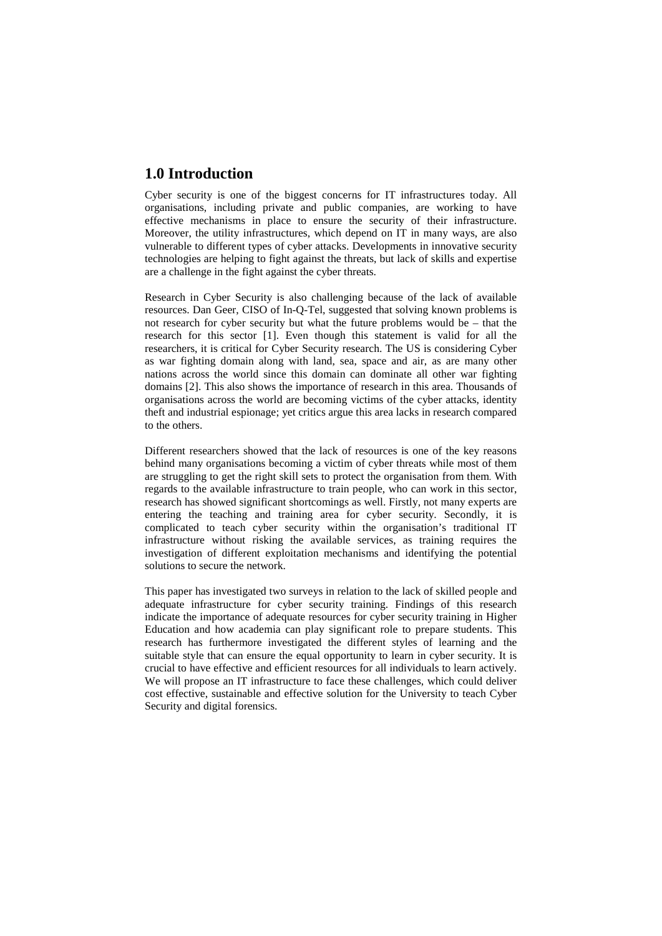## **1.0 Introduction**

Cyber security is one of the biggest concerns for IT infrastructures today. All organisations, including private and public companies, are working to have effective mechanisms in place to ensure the security of their infrastructure. Moreover, the utility infrastructures, which depend on IT in many ways, are also vulnerable to different types of cyber attacks. Developments in innovative security technologies are helping to fight against the threats, but lack of skills and expertise are a challenge in the fight against the cyber threats.

Research in Cyber Security is also challenging because of the lack of available resources. Dan Geer, CISO of In-Q-Tel, suggested that solving known problems is not research for cyber security but what the future problems would be – that the research for this sector [1]. Even though this statement is valid for all the researchers, it is critical for Cyber Security research. The US is considering Cyber as war fighting domain along with land, sea, space and air, as are many other nations across the world since this domain can dominate all other war fighting domains [2]. This also shows the importance of research in this area. Thousands of organisations across the world are becoming victims of the cyber attacks, identity theft and industrial espionage; yet critics argue this area lacks in research compared to the others.

Different researchers showed that the lack of resources is one of the key reasons behind many organisations becoming a victim of cyber threats while most of them are struggling to get the right skill sets to protect the organisation from them. With regards to the available infrastructure to train people, who can work in this sector, research has showed significant shortcomings as well. Firstly, not many experts are entering the teaching and training area for cyber security. Secondly, it is complicated to teach cyber security within the organisation's traditional IT infrastructure without risking the available services, as training requires the investigation of different exploitation mechanisms and identifying the potential solutions to secure the network.

This paper has investigated two surveys in relation to the lack of skilled people and adequate infrastructure for cyber security training. Findings of this research indicate the importance of adequate resources for cyber security training in Higher Education and how academia can play significant role to prepare students. This research has furthermore investigated the different styles of learning and the suitable style that can ensure the equal opportunity to learn in cyber security. It is crucial to have effective and efficient resources for all individuals to learn actively. We will propose an IT infrastructure to face these challenges, which could deliver cost effective, sustainable and effective solution for the University to teach Cyber Security and digital forensics.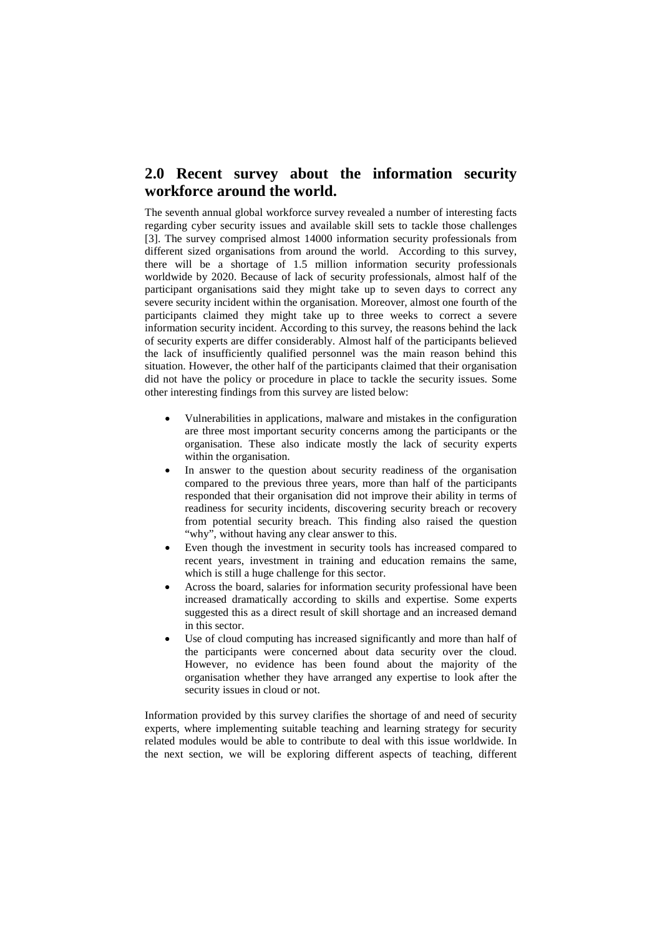## **2.0 Recent survey about the information security workforce around the world.**

The seventh annual global workforce survey revealed a number of interesting facts regarding cyber security issues and available skill sets to tackle those challenges [3]. The survey comprised almost 14000 information security professionals from different sized organisations from around the world. According to this survey, there will be a shortage of 1.5 million information security professionals worldwide by 2020. Because of lack of security professionals, almost half of the participant organisations said they might take up to seven days to correct any severe security incident within the organisation. Moreover, almost one fourth of the participants claimed they might take up to three weeks to correct a severe information security incident. According to this survey, the reasons behind the lack of security experts are differ considerably. Almost half of the participants believed the lack of insufficiently qualified personnel was the main reason behind this situation. However, the other half of the participants claimed that their organisation did not have the policy or procedure in place to tackle the security issues. Some other interesting findings from this survey are listed below:

- Vulnerabilities in applications, malware and mistakes in the configuration are three most important security concerns among the participants or the organisation. These also indicate mostly the lack of security experts within the organisation.
- In answer to the question about security readiness of the organisation compared to the previous three years, more than half of the participants responded that their organisation did not improve their ability in terms of readiness for security incidents, discovering security breach or recovery from potential security breach. This finding also raised the question "why", without having any clear answer to this.
- Even though the investment in security tools has increased compared to recent years, investment in training and education remains the same, which is still a huge challenge for this sector.
- Across the board, salaries for information security professional have been increased dramatically according to skills and expertise. Some experts suggested this as a direct result of skill shortage and an increased demand in this sector.
- Use of cloud computing has increased significantly and more than half of the participants were concerned about data security over the cloud. However, no evidence has been found about the majority of the organisation whether they have arranged any expertise to look after the security issues in cloud or not.

Information provided by this survey clarifies the shortage of and need of security experts, where implementing suitable teaching and learning strategy for security related modules would be able to contribute to deal with this issue worldwide. In the next section, we will be exploring different aspects of teaching, different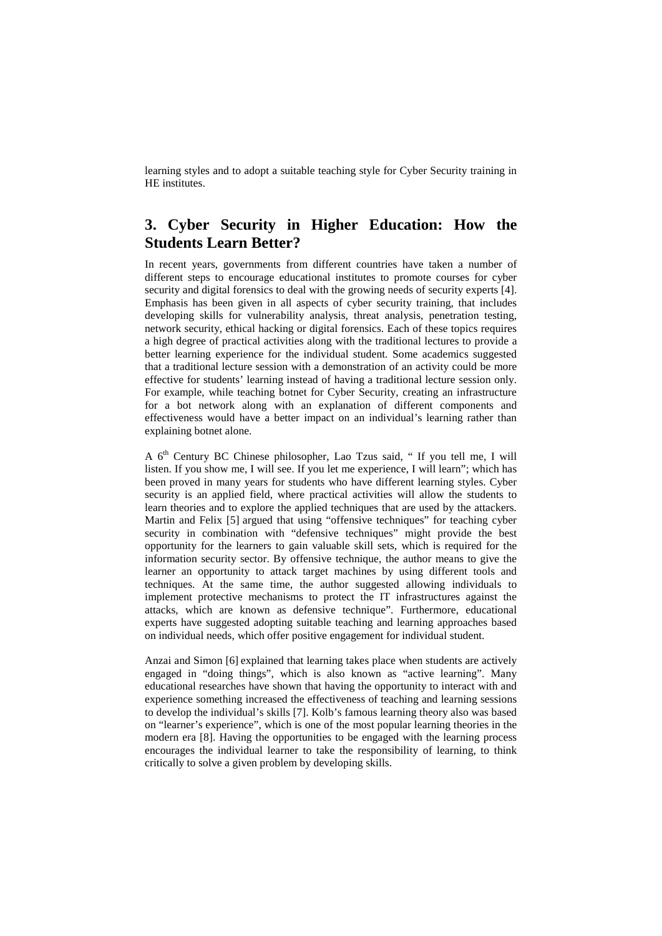learning styles and to adopt a suitable teaching style for Cyber Security training in HE institutes.

## **3. Cyber Security in Higher Education: How the Students Learn Better?**

In recent years, governments from different countries have taken a number of different steps to encourage educational institutes to promote courses for cyber security and digital forensics to deal with the growing needs of security experts [4]. Emphasis has been given in all aspects of cyber security training, that includes developing skills for vulnerability analysis, threat analysis, penetration testing, network security, ethical hacking or digital forensics. Each of these topics requires a high degree of practical activities along with the traditional lectures to provide a better learning experience for the individual student. Some academics suggested that a traditional lecture session with a demonstration of an activity could be more effective for students' learning instead of having a traditional lecture session only. For example, while teaching botnet for Cyber Security, creating an infrastructure for a bot network along with an explanation of different components and effectiveness would have a better impact on an individual's learning rather than explaining botnet alone.

A 6<sup>th</sup> Century BC Chinese philosopher, Lao Tzus said, " If you tell me, I will listen. If you show me, I will see. If you let me experience, I will learn"; which has been proved in many years for students who have different learning styles. Cyber security is an applied field, where practical activities will allow the students to learn theories and to explore the applied techniques that are used by the attackers. Martin and Felix [5] argued that using "offensive techniques" for teaching cyber security in combination with "defensive techniques" might provide the best opportunity for the learners to gain valuable skill sets, which is required for the information security sector. By offensive technique, the author means to give the learner an opportunity to attack target machines by using different tools and techniques. At the same time, the author suggested allowing individuals to implement protective mechanisms to protect the IT infrastructures against the attacks, which are known as defensive technique". Furthermore, educational experts have suggested adopting suitable teaching and learning approaches based on individual needs, which offer positive engagement for individual student.

Anzai and Simon [6] explained that learning takes place when students are actively engaged in "doing things", which is also known as "active learning". Many educational researches have shown that having the opportunity to interact with and experience something increased the effectiveness of teaching and learning sessions to develop the individual's skills [7]. Kolb's famous learning theory also was based on "learner's experience", which is one of the most popular learning theories in the modern era [8]. Having the opportunities to be engaged with the learning process encourages the individual learner to take the responsibility of learning, to think critically to solve a given problem by developing skills.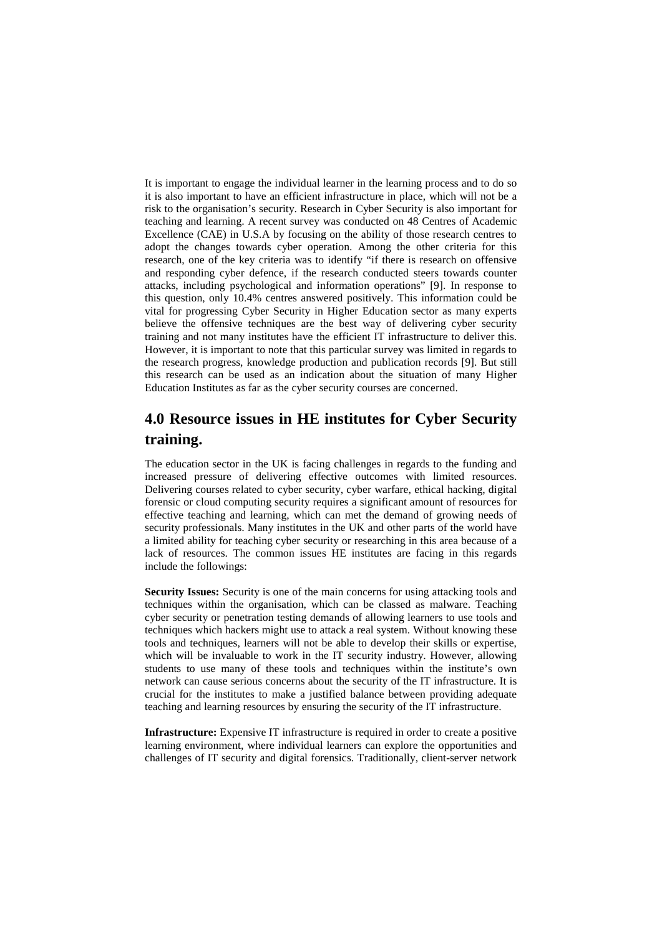It is important to engage the individual learner in the learning process and to do so it is also important to have an efficient infrastructure in place, which will not be a risk to the organisation's security. Research in Cyber Security is also important for teaching and learning. A recent survey was conducted on 48 Centres of Academic Excellence (CAE) in U.S.A by focusing on the ability of those research centres to adopt the changes towards cyber operation. Among the other criteria for this research, one of the key criteria was to identify "if there is research on offensive and responding cyber defence, if the research conducted steers towards counter attacks, including psychological and information operations" [9]. In response to this question, only 10.4% centres answered positively. This information could be vital for progressing Cyber Security in Higher Education sector as many experts believe the offensive techniques are the best way of delivering cyber security training and not many institutes have the efficient IT infrastructure to deliver this. However, it is important to note that this particular survey was limited in regards to the research progress, knowledge production and publication records [9]. But still this research can be used as an indication about the situation of many Higher Education Institutes as far as the cyber security courses are concerned.

## **4.0 Resource issues in HE institutes for Cyber Security training.**

The education sector in the UK is facing challenges in regards to the funding and increased pressure of delivering effective outcomes with limited resources. Delivering courses related to cyber security, cyber warfare, ethical hacking, digital forensic or cloud computing security requires a significant amount of resources for effective teaching and learning, which can met the demand of growing needs of security professionals. Many institutes in the UK and other parts of the world have a limited ability for teaching cyber security or researching in this area because of a lack of resources. The common issues HE institutes are facing in this regards include the followings:

**Security Issues:** Security is one of the main concerns for using attacking tools and techniques within the organisation, which can be classed as malware. Teaching cyber security or penetration testing demands of allowing learners to use tools and techniques which hackers might use to attack a real system. Without knowing these tools and techniques, learners will not be able to develop their skills or expertise, which will be invaluable to work in the IT security industry. However, allowing students to use many of these tools and techniques within the institute's own network can cause serious concerns about the security of the IT infrastructure. It is crucial for the institutes to make a justified balance between providing adequate teaching and learning resources by ensuring the security of the IT infrastructure.

**Infrastructure:** Expensive IT infrastructure is required in order to create a positive learning environment, where individual learners can explore the opportunities and challenges of IT security and digital forensics. Traditionally, client-server network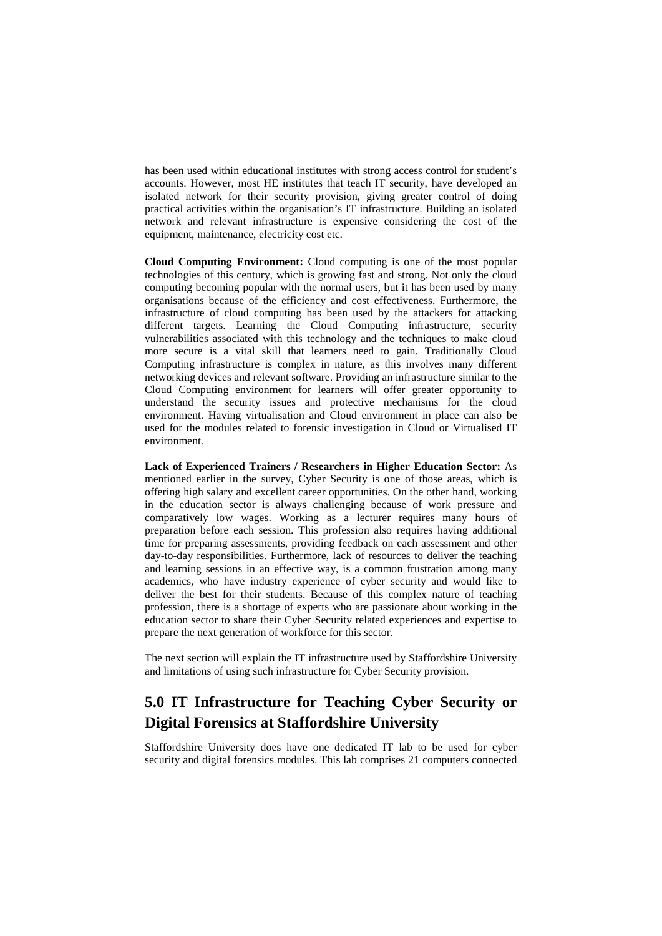has been used within educational institutes with strong access control for student's accounts. However, most HE institutes that teach IT security, have developed an isolated network for their security provision, giving greater control of doing practical activities within the organisation's IT infrastructure. Building an isolated network and relevant infrastructure is expensive considering the cost of the equipment, maintenance, electricity cost etc.

**Cloud Computing Environment:** Cloud computing is one of the most popular technologies of this century, which is growing fast and strong. Not only the cloud computing becoming popular with the normal users, but it has been used by many organisations because of the efficiency and cost effectiveness. Furthermore, the infrastructure of cloud computing has been used by the attackers for attacking different targets. Learning the Cloud Computing infrastructure, security vulnerabilities associated with this technology and the techniques to make cloud more secure is a vital skill that learners need to gain. Traditionally Cloud Computing infrastructure is complex in nature, as this involves many different networking devices and relevant software. Providing an infrastructure similar to the Cloud Computing environment for learners will offer greater opportunity to understand the security issues and protective mechanisms for the cloud environment. Having virtualisation and Cloud environment in place can also be used for the modules related to forensic investigation in Cloud or Virtualised IT environment.

**Lack of Experienced Trainers / Researchers in Higher Education Sector:** As mentioned earlier in the survey, Cyber Security is one of those areas, which is offering high salary and excellent career opportunities. On the other hand, working in the education sector is always challenging because of work pressure and comparatively low wages. Working as a lecturer requires many hours of preparation before each session. This profession also requires having additional time for preparing assessments, providing feedback on each assessment and other day-to-day responsibilities. Furthermore, lack of resources to deliver the teaching and learning sessions in an effective way, is a common frustration among many academics, who have industry experience of cyber security and would like to deliver the best for their students. Because of this complex nature of teaching profession, there is a shortage of experts who are passionate about working in the education sector to share their Cyber Security related experiences and expertise to prepare the next generation of workforce for this sector.

The next section will explain the IT infrastructure used by Staffordshire University and limitations of using such infrastructure for Cyber Security provision.

## **5.0 IT Infrastructure for Teaching Cyber Security or Digital Forensics at Staffordshire University**

Staffordshire University does have one dedicated IT lab to be used for cyber security and digital forensics modules. This lab comprises 21 computers connected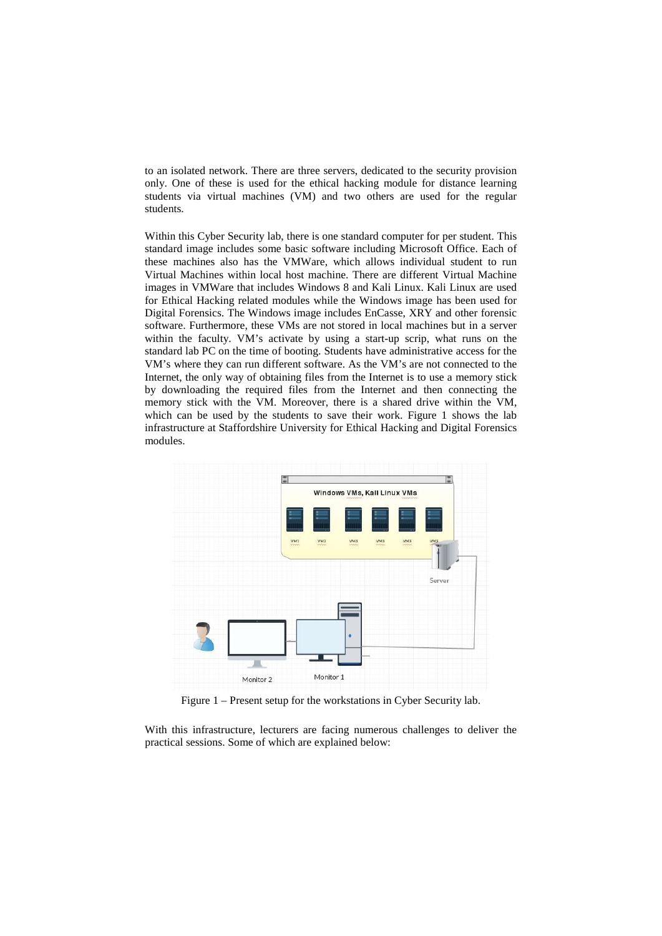to an isolated network. There are three servers, dedicated to the security provision only. One of these is used for the ethical hacking module for distance learning students via virtual machines (VM) and two others are used for the regular students.

Within this Cyber Security lab, there is one standard computer for per student. This standard image includes some basic software including Microsoft Office. Each of these machines also has the VMWare, which allows individual student to run Virtual Machines within local host machine. There are different Virtual Machine images in VMWare that includes Windows 8 and Kali Linux. Kali Linux are used for Ethical Hacking related modules while the Windows image has been used for Digital Forensics. The Windows image includes EnCasse, XRY and other forensic software. Furthermore, these VMs are not stored in local machines but in a server within the faculty. VM's activate by using a start-up scrip, what runs on the standard lab PC on the time of booting. Students have administrative access for the VM's where they can run different software. As the VM's are not connected to the Internet, the only way of obtaining files from the Internet is to use a memory stick by downloading the required files from the Internet and then connecting the memory stick with the VM. Moreover, there is a shared drive within the VM, which can be used by the students to save their work. Figure 1 shows the lab infrastructure at Staffordshire University for Ethical Hacking and Digital Forensics modules.



Figure 1 – Present setup for the workstations in Cyber Security lab.

With this infrastructure, lecturers are facing numerous challenges to deliver the practical sessions. Some of which are explained below: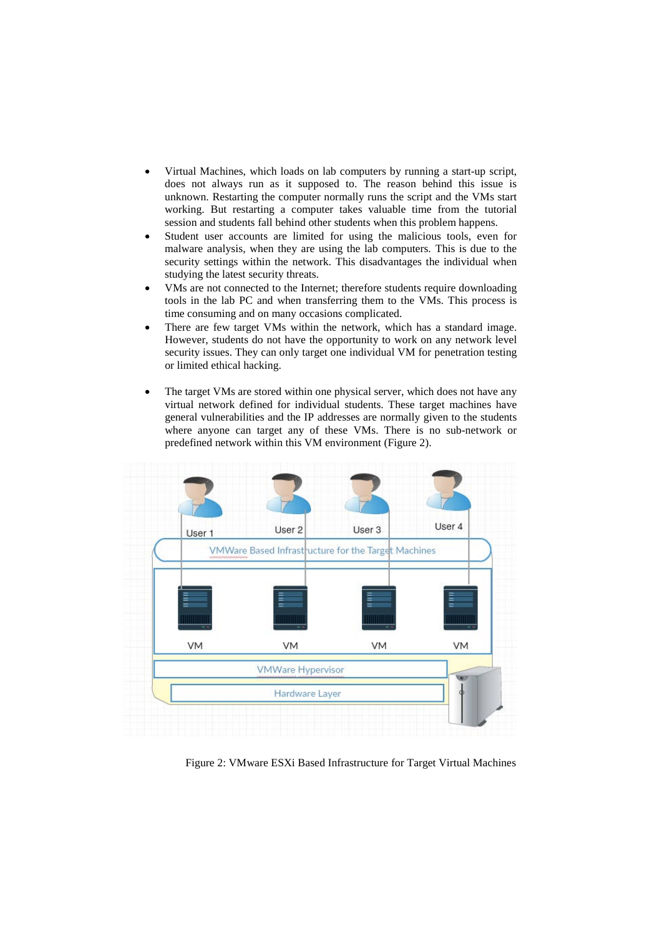- Virtual Machines, which loads on lab computers by running a start-up script, does not always run as it supposed to. The reason behind this issue is unknown. Restarting the computer normally runs the script and the VMs start working. But restarting a computer takes valuable time from the tutorial session and students fall behind other students when this problem happens.
- Student user accounts are limited for using the malicious tools, even for malware analysis, when they are using the lab computers. This is due to the security settings within the network. This disadvantages the individual when studying the latest security threats.
- VMs are not connected to the Internet; therefore students require downloading tools in the lab PC and when transferring them to the VMs. This process is time consuming and on many occasions complicated.
- There are few target VMs within the network, which has a standard image. However, students do not have the opportunity to work on any network level security issues. They can only target one individual VM for penetration testing or limited ethical hacking.
- The target VMs are stored within one physical server, which does not have any virtual network defined for individual students. These target machines have general vulnerabilities and the IP addresses are normally given to the students where anyone can target any of these VMs. There is no sub-network or predefined network within this VM environment (Figure 2).



Figure 2: VMware ESXi Based Infrastructure for Target Virtual Machines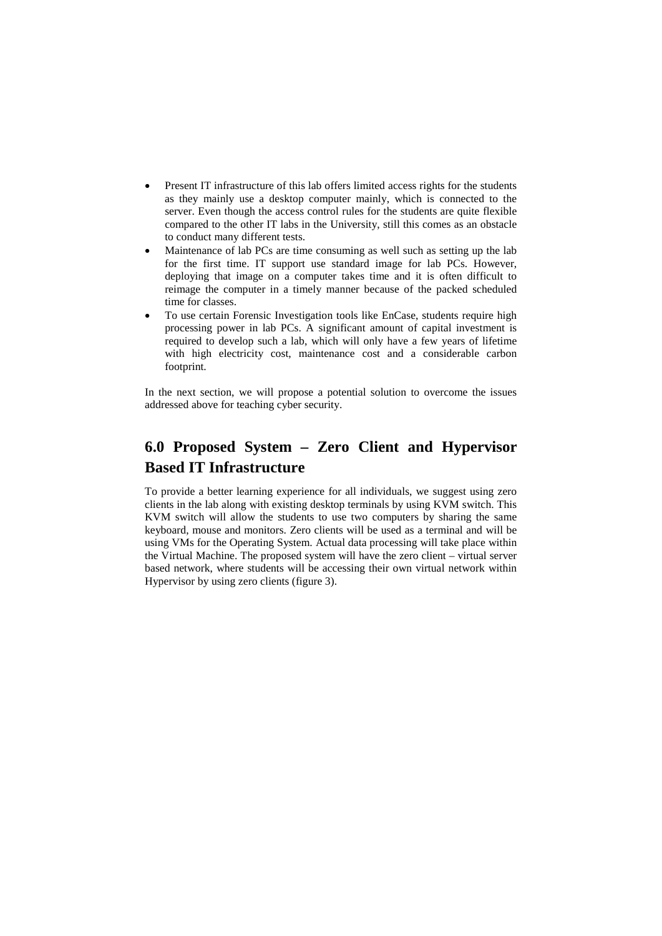- Present IT infrastructure of this lab offers limited access rights for the students as they mainly use a desktop computer mainly, which is connected to the server. Even though the access control rules for the students are quite flexible compared to the other IT labs in the University, still this comes as an obstacle to conduct many different tests.
- Maintenance of lab PCs are time consuming as well such as setting up the lab for the first time. IT support use standard image for lab PCs. However, deploying that image on a computer takes time and it is often difficult to reimage the computer in a timely manner because of the packed scheduled time for classes.
- To use certain Forensic Investigation tools like EnCase, students require high processing power in lab PCs. A significant amount of capital investment is required to develop such a lab, which will only have a few years of lifetime with high electricity cost, maintenance cost and a considerable carbon footprint.

In the next section, we will propose a potential solution to overcome the issues addressed above for teaching cyber security.

# **6.0 Proposed System – Zero Client and Hypervisor Based IT Infrastructure**

To provide a better learning experience for all individuals, we suggest using zero clients in the lab along with existing desktop terminals by using KVM switch. This KVM switch will allow the students to use two computers by sharing the same keyboard, mouse and monitors. Zero clients will be used as a terminal and will be using VMs for the Operating System. Actual data processing will take place within the Virtual Machine. The proposed system will have the zero client – virtual server based network, where students will be accessing their own virtual network within Hypervisor by using zero clients (figure 3).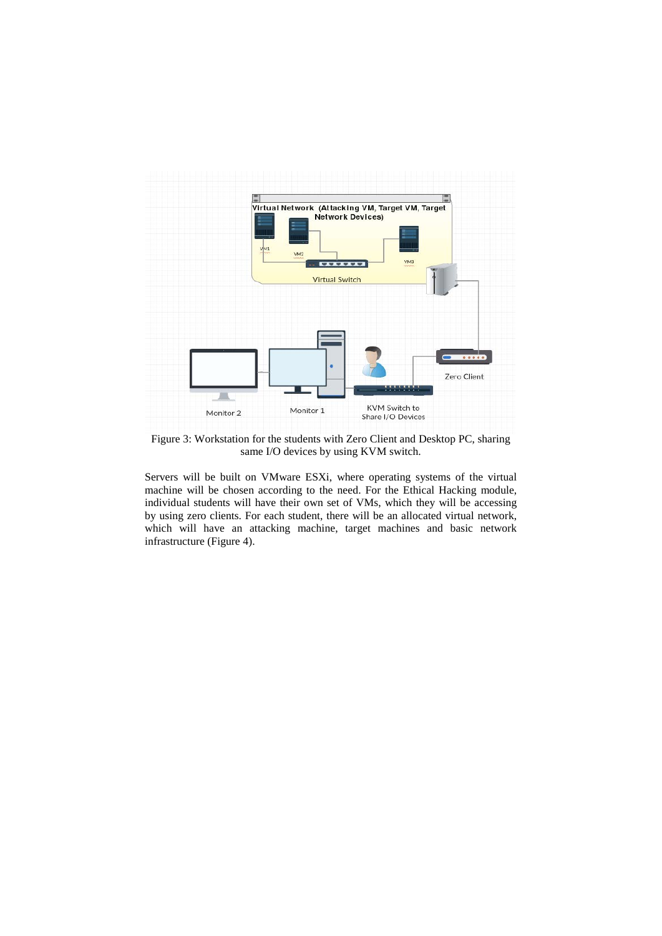

Figure 3: Workstation for the students with Zero Client and Desktop PC, sharing same I/O devices by using KVM switch.

Servers will be built on VMware ESXi, where operating systems of the virtual machine will be chosen according to the need. For the Ethical Hacking module, individual students will have their own set of VMs, which they will be accessing by using zero clients. For each student, there will be an allocated virtual network, which will have an attacking machine, target machines and basic network infrastructure (Figure 4).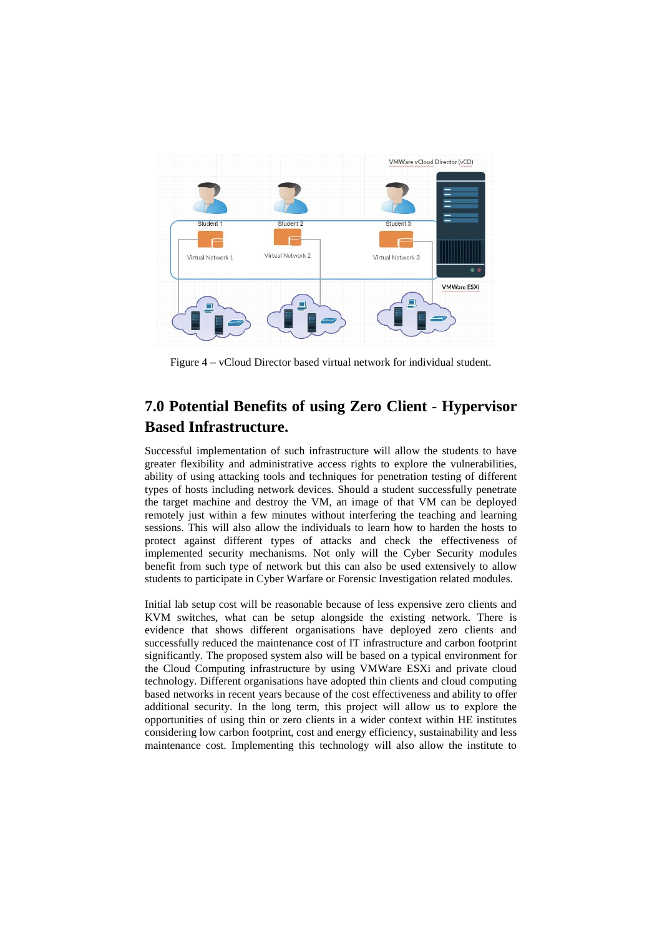

Figure 4 – vCloud Director based virtual network for individual student.

## **7.0 Potential Benefits of using Zero Client - Hypervisor Based Infrastructure.**

Successful implementation of such infrastructure will allow the students to have greater flexibility and administrative access rights to explore the vulnerabilities, ability of using attacking tools and techniques for penetration testing of different types of hosts including network devices. Should a student successfully penetrate the target machine and destroy the VM, an image of that VM can be deployed remotely just within a few minutes without interfering the teaching and learning sessions. This will also allow the individuals to learn how to harden the hosts to protect against different types of attacks and check the effectiveness of implemented security mechanisms. Not only will the Cyber Security modules benefit from such type of network but this can also be used extensively to allow students to participate in Cyber Warfare or Forensic Investigation related modules.

Initial lab setup cost will be reasonable because of less expensive zero clients and KVM switches, what can be setup alongside the existing network. There is evidence that shows different organisations have deployed zero clients and successfully reduced the maintenance cost of IT infrastructure and carbon footprint significantly. The proposed system also will be based on a typical environment for the Cloud Computing infrastructure by using VMWare ESXi and private cloud technology. Different organisations have adopted thin clients and cloud computing based networks in recent years because of the cost effectiveness and ability to offer additional security. In the long term, this project will allow us to explore the opportunities of using thin or zero clients in a wider context within HE institutes considering low carbon footprint, cost and energy efficiency, sustainability and less maintenance cost. Implementing this technology will also allow the institute to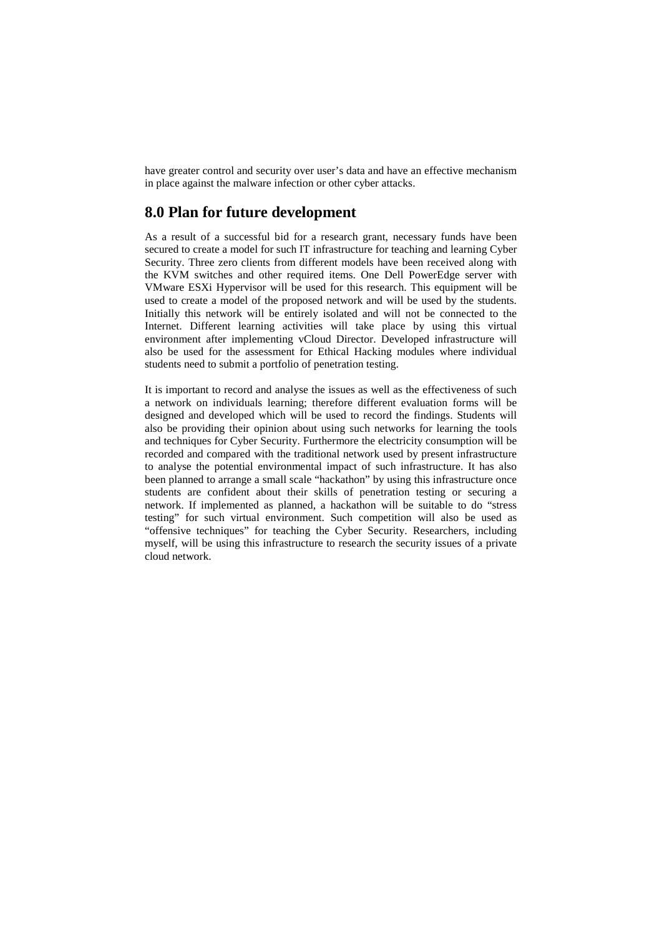have greater control and security over user's data and have an effective mechanism in place against the malware infection or other cyber attacks.

#### **8.0 Plan for future development**

As a result of a successful bid for a research grant, necessary funds have been secured to create a model for such IT infrastructure for teaching and learning Cyber Security. Three zero clients from different models have been received along with the KVM switches and other required items. One Dell PowerEdge server with VMware ESXi Hypervisor will be used for this research. This equipment will be used to create a model of the proposed network and will be used by the students. Initially this network will be entirely isolated and will not be connected to the Internet. Different learning activities will take place by using this virtual environment after implementing vCloud Director. Developed infrastructure will also be used for the assessment for Ethical Hacking modules where individual students need to submit a portfolio of penetration testing.

It is important to record and analyse the issues as well as the effectiveness of such a network on individuals learning; therefore different evaluation forms will be designed and developed which will be used to record the findings. Students will also be providing their opinion about using such networks for learning the tools and techniques for Cyber Security. Furthermore the electricity consumption will be recorded and compared with the traditional network used by present infrastructure to analyse the potential environmental impact of such infrastructure. It has also been planned to arrange a small scale "hackathon" by using this infrastructure once students are confident about their skills of penetration testing or securing a network. If implemented as planned, a hackathon will be suitable to do "stress testing" for such virtual environment. Such competition will also be used as "offensive techniques" for teaching the Cyber Security. Researchers, including myself, will be using this infrastructure to research the security issues of a private cloud network.